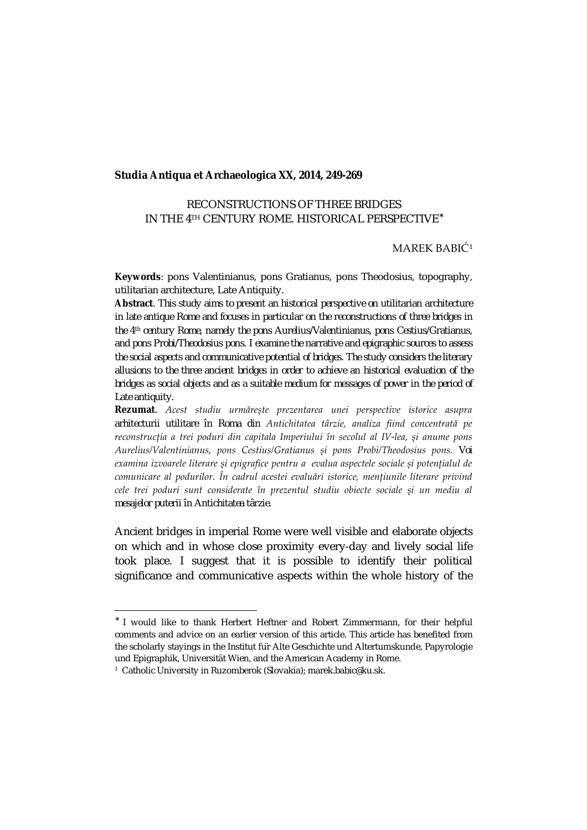#### **Studia Antiqua et Archaeologica XX, 2014, 249-269**

# RECONSTRUCTIONS OF THREE BRIDGES IN THE 4TH CENTURY ROME. HISTORICAL PERSPECTIVE

## MAREK BABIĆ[1](#page-0-0)

**Keywords**: pons Valentinianus, pons Gratianus, pons Theodosius, topography, utilitarian architecture, Late Antiquity.

**Abstract**. *This study aims to present an historical perspective on utilitarian architecture in late antique Rome and focuses in particular on the reconstructions of three bridges in the 4th century Rome, namely the pons Aurelius/Valentinianus, pons Cestius/Gratianus, and pons Probi/Theodosius pons. I examine the narrative and epigraphic sources to assess the social aspects and communicative potential of bridges. The study considers the literary allusions to the three ancient bridges in order to achieve an historical evaluation of the bridges as social objects and as a suitable medium for messages of power in the period of Late antiquity.* 

**Rezumat**. *Acest studiu urmărește prezentarea unei perspective istorice asupra arhitecturii utilitare în Roma din Antichitatea târzie, analiza fiind concentrată pe reconstrucția a trei poduri din capitala Imperiului în secolul al IV-lea, și anume pons Aurelius/Valentinianus, pons Cestius/Gratianus și pons Probi/Theodosius pons. Voi examina izvoarele literare și epigrafice pentru a evalua aspectele sociale și potențialul de comunicare al podurilor. În cadrul acestei evaluări istorice, mențiunile literare privind cele trei poduri sunt considerate în prezentul studiu obiecte sociale și un mediu al mesajelor puterii în Antichitatea târzie*.

Ancient bridges in imperial Rome were well visible and elaborate objects on which and in whose close proximity every-day and lively social life took place. I suggest that it is possible to identify their political significance and communicative aspects within the whole history of the

I would like to thank Herbert Heftner and Robert Zimmermann, for their helpful comments and advice on an earlier version of this article. This article has benefited from the scholarly stayings in the Institut für Alte Geschichte und Altertumskunde, Papyrologie und Epigraphik, Universität Wien, and the American Academy in Rome.

<span id="page-0-0"></span><sup>1</sup> Catholic University in Ruzomberok (Slovakia); marek.babic@ku.sk.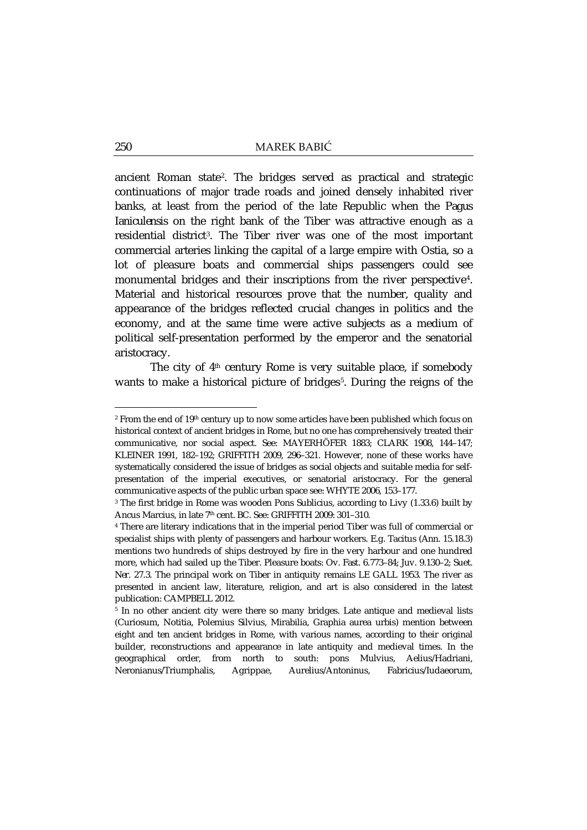ancient Roman state[2](#page-1-0). The bridges served as practical and strategic continuations of major trade roads and joined densely inhabited river banks, at least from the period of the late Republic when the *Pagus Ianiculensis* on the right bank of the Tiber was attractive enough as a residential district[3](#page-1-1). The Tiber river was one of the most important commercial arteries linking the capital of a large empire with Ostia, so a lot of pleasure boats and commercial ships passengers could see monumental bridges and their inscriptions from the river perspective[4](#page-1-2). Material and historical resources prove that the number, quality and appearance of the bridges reflected crucial changes in politics and the economy, and at the same time were active subjects as a medium of political self-presentation performed by the emperor and the senatorial aristocracy.

The city of  $4<sup>th</sup>$  century Rome is very suitable place, if somebody wants to make a historical picture of bridges<sup>[5](#page-1-3)</sup>. During the reigns of the

<span id="page-1-0"></span><sup>&</sup>lt;sup>2</sup> From the end of 19<sup>th</sup> century up to now some articles have been published which focus on historical context of ancient bridges in Rome, but no one has comprehensively treated their communicative, nor social aspect. See: MAYERHÖFER 1883; CLARK 1908, 144–147; KLEINER 1991, 182–192; GRIFFITH 2009, 296–321. However, none of these works have systematically considered the issue of bridges as social objects and suitable media for selfpresentation of the imperial executives, or senatorial aristocracy. For the general communicative aspects of the public urban space see: WHYTE 2006, 153–177.

<span id="page-1-1"></span><sup>3</sup> The first bridge in Rome was wooden Pons Sublicius, according to Livy (1.33.6) built by Ancus Marcius, in late 7th cent. BC. See: GRIFFITH 2009: 301–310.

<span id="page-1-2"></span><sup>4</sup> There are literary indications that in the imperial period Tiber was full of commercial or specialist ships with plenty of passengers and harbour workers. E.g. Tacitus (*Ann.* 15.18.3) mentions two hundreds of ships destroyed by fire in the very harbour and one hundred more, which had sailed up the Tiber. Pleasure boats: Ov. *Fast.* 6.773–84; Juv. 9.130–2; Suet. *Ner.* 27.3. The principal work on Tiber in antiquity remains LE GALL 1953. The river as presented in ancient law, literature, religion, and art is also considered in the latest publication: CAMPBELL 2012.

<span id="page-1-3"></span><sup>5</sup> In no other ancient city were there so many bridges. Late antique and medieval lists (Curiosum, Notitia, Polemius Silvius, Mirabilia, Graphia aurea urbis) mention between eight and ten ancient bridges in Rome, with various names, according to their original builder, reconstructions and appearance in late antiquity and medieval times. In the geographical order, from north to south: pons Mulvius, Aelius/Hadriani, Neronianus/Triumphalis, Agrippae, Aurelius/Antoninus, Fabricius/Iudaeorum,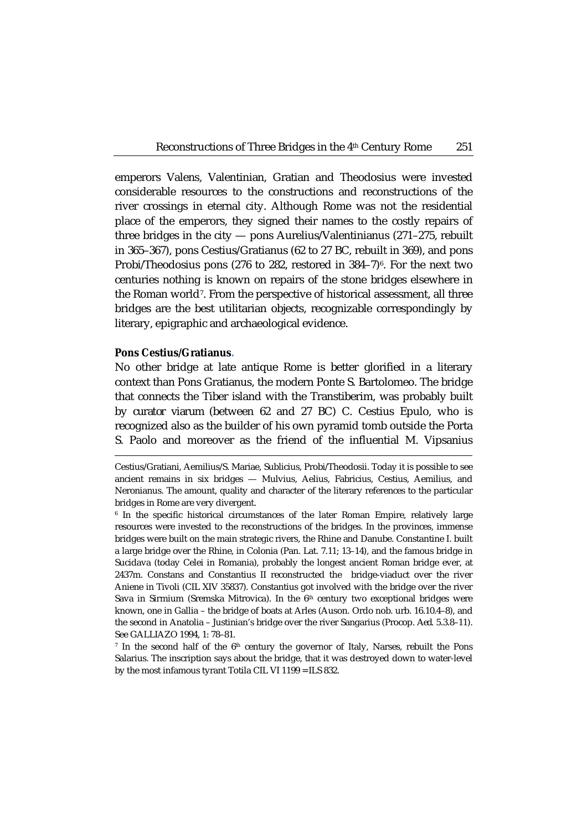emperors Valens, Valentinian, Gratian and Theodosius were invested considerable resources to the constructions and reconstructions of the river crossings in eternal city. Although Rome was not the residential place of the emperors, they signed their names to the costly repairs of three bridges in the city — pons Aurelius/Valentinianus (271–275, rebuilt in 365–367), pons Cestius/Gratianus (62 to 27 BC, rebuilt in 369), and pons Probi/Theodosius pons (27[6](#page-2-0) to 282, restored in  $384-7$ )<sup>6</sup>. For the next two centuries nothing is known on repairs of the stone bridges elsewhere in the Roman world[7.](#page-2-1) From the perspective of historical assessment, all three bridges are the best utilitarian objects, recognizable correspondingly by literary, epigraphic and archaeological evidence.

## **Pons Cestius/Gratianus.**

1

No other bridge at late antique Rome is better glorified in a literary context than Pons Gratianus, the modern Ponte S. Bartolomeo. The bridge that connects the Tiber island with the Transtiberim, was probably built by *curator viarum* (between 62 and 27 BC) C. Cestius Epulo, who is recognized also as the builder of his own pyramid tomb outside the Porta S. Paolo and moreover as the friend of the influential M. Vipsanius

Cestius/Gratiani, Aemilius/S. Mariae, Sublicius, Probi/Theodosii. Today it is possible to see ancient remains in six bridges — Mulvius, Aelius, Fabricius, Cestius, Aemilius, and Neronianus. The amount, quality and character of the literary references to the particular bridges in Rome are very divergent.

<span id="page-2-0"></span><sup>6</sup> In the specific historical circumstances of the later Roman Empire, relatively large resources were invested to the reconstructions of the bridges. In the provinces, immense bridges were built on the main strategic rivers, the Rhine and Danube. Constantine I. built a large bridge over the Rhine, in Colonia (Pan. Lat. 7.11; 13–14), and the famous bridge in Sucidava (today Celei in Romania), probably the longest ancient Roman bridge ever, at 2437m. Constans and Constantius II reconstructed the bridge-viaduct over the river Aniene in Tivoli (CIL XIV 35837). Constantius got involved with the bridge over the river Sava in Sirmium (Sremska Mitrovica). In the 6<sup>th</sup> century two exceptional bridges were known, one in Gallia – the bridge of boats at Arles (Auson. Ordo nob. urb. 16.10.4–8), and the second in Anatolia – Justinian's bridge over the river Sangarius (Procop. *Aed*. 5.3.8–11). See GALLIAZO 1994, 1: 78–81.

<span id="page-2-1"></span><sup>&</sup>lt;sup>7</sup> In the second half of the  $6<sup>th</sup>$  century the governor of Italy, Narses, rebuilt the Pons Salarius. The inscription says about the bridge, that it was destroyed down to water-level by the most infamous tyrant Totila CIL VI 1199 = ILS 832.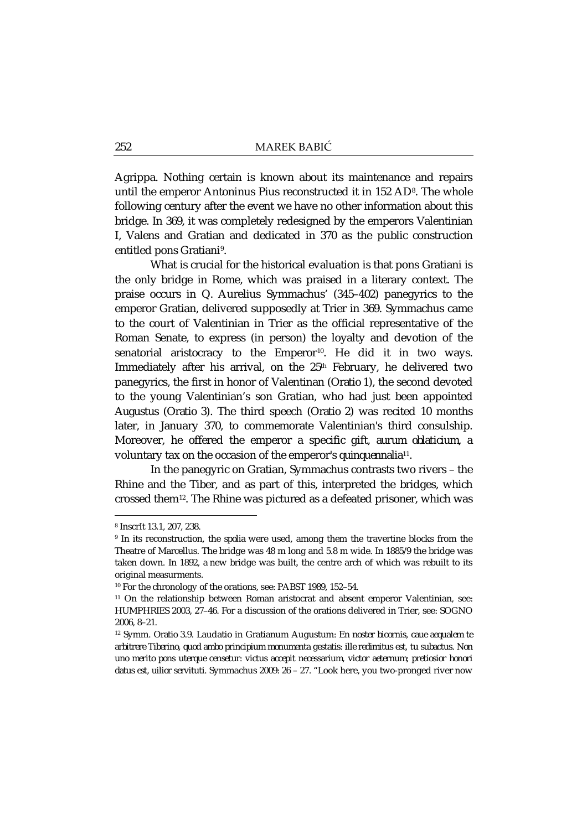Agrippa. Nothing certain is known about its maintenance and repairs until the emperor Antoninus Pius reconstructed it in 152 AD<sup>8</sup>. The whole following century after the event we have no other information about this bridge. In 369, it was completely redesigned by the emperors Valentinian I, Valens and Gratian and dedicated in 370 as the public construction entitled pons Gratiani[9.](#page-3-1)

What is crucial for the historical evaluation is that pons Gratiani is the only bridge in Rome, which was praised in a literary context. The praise occurs in Q. Aurelius Symmachus' (345–402) panegyrics to the emperor Gratian, delivered supposedly at Trier in 369. Symmachus came to the court of Valentinian in Trier as the official representative of the Roman Senate, to express (in person) the loyalty and devotion of the senatorial aristocracy to the Emperor<sup>10</sup>. He did it in two ways. Immediately after his arrival, on the 25<sup>th</sup> February, he delivered two panegyrics, the first in honor of Valentinan (*Oratio 1*), the second devoted to the young Valentinian's son Gratian, who had just been appointed *Augustus* (*Oratio 3*). The third speech (*Oratio 2*) was recited 10 months later, in January 370, to commemorate Valentinian's third consulship. Moreover, he offered the emperor a specific gift, *aurum oblaticium*, a voluntary tax on the occasion of the emperor's *quinquennalia*[11](#page-3-3)*.*

In the panegyric on Gratian, Symmachus contrasts two rivers – the Rhine and the Tiber, and as part of this, interpreted the bridges, which crossed them[12.](#page-3-4) The Rhine was pictured as a defeated prisoner, which was

<span id="page-3-0"></span><sup>8</sup> InscrIt 13.1, 207, 238.

<span id="page-3-1"></span><sup>9</sup> In its reconstruction, the *spolia* were used, among them the travertine blocks from the Theatre of Marcellus. The bridge was 48 m long and 5.8 m wide. In 1885/9 the bridge was taken down. In 1892, a new bridge was built, the centre arch of which was rebuilt to its original measurments.

<span id="page-3-2"></span><sup>10</sup> For the chronology of the orations, see: PABST 1989, 152–54.

<span id="page-3-3"></span><sup>&</sup>lt;sup>11</sup> On the relationship between Roman aristocrat and absent emperor Valentinian, see: HUMPHRIES 2003, 27–46. For a discussion of the orations delivered in Trier, see: SOGNO 2006, 8–21.

<span id="page-3-4"></span><sup>12</sup> Symm. *Oratio* 3.9. Laudatio in Gratianum Augustum: *En noster bicornis, caue aequalem te arbitrere Tiberino, quod ambo principium monumenta gestatis: ille redimitus est, tu subactus. Non uno merito pons uterque censetur: victus accepit necessarium, victor aeternum; pretiosior honori datus est, uilior servituti.* Symmachus 2009: 26 – 27. "Look here, you two-pronged river now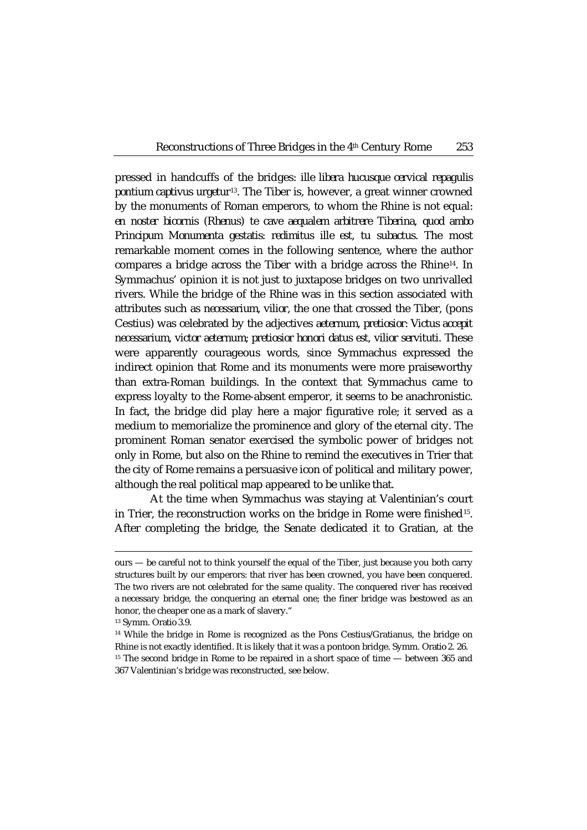pressed in handcuffs of the bridges: *ille libera hucusque cervical repagulis pontium captivus urgetur*[13](#page-4-0)*.* The Tiber is, however, a great winner crowned by the monuments of Roman emperors, to whom the Rhine is not equal: *en noster bicornis (Rhenus) te cave aequalem arbitrere Tiberina, quod ambo Principum Monumenta gestatis: redimitus ille est, tu subactus*. The most remarkable moment comes in the following sentence, where the author compares a bridge across the Tiber with a bridge across the Rhine[14.](#page-4-1) In Symmachus' opinion it is not just to juxtapose bridges on two unrivalled rivers. While the bridge of the Rhine was in this section associated with attributes such as *necessarium, vilior*, the one that crossed the Tiber, (pons Cestius) was celebrated by the adjectives *aeternum, pretiosior*: *Victus accepit necessarium, victor aeternum; pretiosior honori datus est, vilior servituti.* These were apparently courageous words, since Symmachus expressed the indirect opinion that Rome and its monuments were more praiseworthy than extra-Roman buildings. In the context that Symmachus came to express loyalty to the Rome-absent emperor, it seems to be anachronistic. In fact, the bridge did play here a major figurative role; it served as a medium to memorialize the prominence and glory of the eternal city. The prominent Roman senator exercised the symbolic power of bridges not only in Rome, but also on the Rhine to remind the executives in Trier that the city of Rome remains a persuasive icon of political and military power, although the real political map appeared to be unlike that.

At the time when Symmachus was staying at Valentinian's court in Trier, the reconstruction works on the bridge in Rome were finished<sup>[15](#page-4-2)</sup>. After completing the bridge, the Senate dedicated it to Gratian, at the

ours — be careful not to think yourself the equal of the Tiber, just because you both carry structures built by our emperors: that river has been crowned, you have been conquered. The two rivers are not celebrated for the same quality. The conquered river has received a necessary bridge, the conquering an eternal one; the finer bridge was bestowed as an honor, the cheaper one as a mark of slavery."

<sup>13</sup> Symm. *Oratio* 3.9.

<span id="page-4-2"></span><span id="page-4-1"></span><span id="page-4-0"></span><sup>14</sup> While the bridge in Rome is recognized as the Pons Cestius/Gratianus, the bridge on Rhine is not exactly identified. It is likely that it was a pontoon bridge. Symm. *Oratio* 2. 26. <sup>15</sup> The second bridge in Rome to be repaired in a short space of time — between 365 and 367 Valentinian's bridge was reconstructed, see below.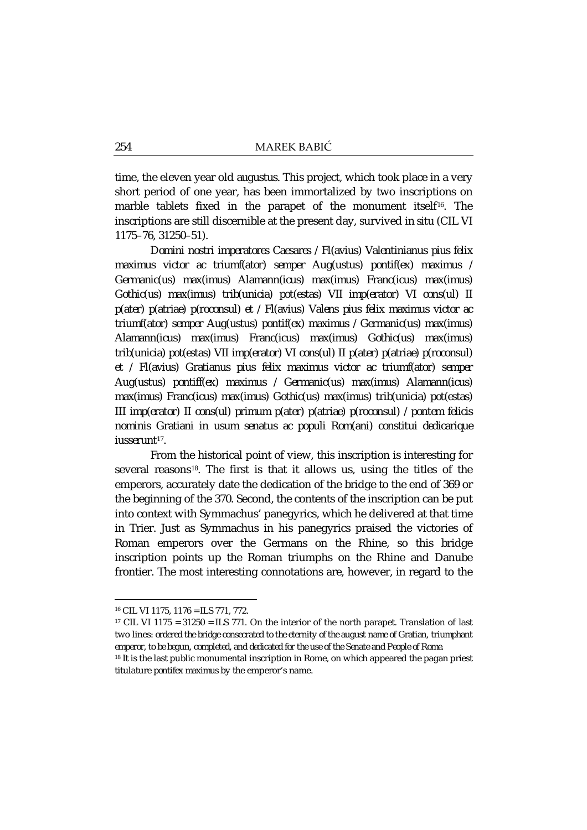time, the eleven year old *augustus*. This project, which took place in a very short period of one year, has been immortalized by two inscriptions on marble tablets fixed in the parapet of the monument itself<sup>16</sup>. The inscriptions are still discernible at the present day, survived *in situ* (CIL VI 1175–76, 31250–51).

*Domini nostri imperatores Caesares / Fl(avius) Valentinianus pius felix maximus victor ac triumf(ator) semper Aug(ustus) pontif(ex) maximus / Germanic(us) max(imus) Alamann(icus) max(imus) Franc(icus) max(imus) Gothic(us) max(imus) trib(unicia) pot(estas) VII imp(erator) VI cons(ul) II p(ater) p(atriae) p(roconsul) et / Fl(avius) Valens pius felix maximus victor ac triumf(ator) semper Aug(ustus) pontif(ex) maximus / Germanic(us) max(imus) Alamann(icus) max(imus) Franc(icus) max(imus) Gothic(us) max(imus) trib(unicia) pot(estas) VII imp(erator) VI cons(ul) II p(ater) p(atriae) p(roconsul) et / Fl(avius) Gratianus pius felix maximus victor ac triumf(ator) semper Aug(ustus) pontiff(ex) maximus / Germanic(us) max(imus) Alamann(icus) max(imus) Franc(icus) max(imus) Gothic(us) max(imus) trib(unicia) pot(estas) III imp(erator) II cons(ul) primum p(ater) p(atriae) p(roconsul) / pontem felicis nominis Gratiani in usum senatus ac populi Rom(ani) constitui dedicarique iusserunt*[17](#page-5-1)*.*

From the historical point of view, this inscription is interesting for several reasons<sup>[18](#page-5-2)</sup>. The first is that it allows us, using the titles of the emperors, accurately date the dedication of the bridge to the end of 369 or the beginning of the 370. Second, the contents of the inscription can be put into context with Symmachus' panegyrics, which he delivered at that time in Trier. Just as Symmachus in his panegyrics praised the victories of Roman emperors over the Germans on the Rhine, so this bridge inscription points up the Roman triumphs on the Rhine and Danube frontier. The most interesting connotations are, however, in regard to the

<span id="page-5-0"></span><sup>16</sup> CIL VI 1175, 1176 = ILS 771, 772.

<span id="page-5-1"></span><sup>&</sup>lt;sup>17</sup> CIL VI 1175 =  $31250$  = ILS 771. On the interior of the north parapet. Translation of last two lines: *ordered the bridge consecrated to the eternity of the august name of Gratian, triumphant emperor, to be begun, completed, and dedicated for the use of the Senate and People of Rome.*

<span id="page-5-2"></span><sup>&</sup>lt;sup>18</sup> It is the last public monumental inscription in Rome, on which appeared the pagan priest titulature *pontifex maximus* by the emperor's name.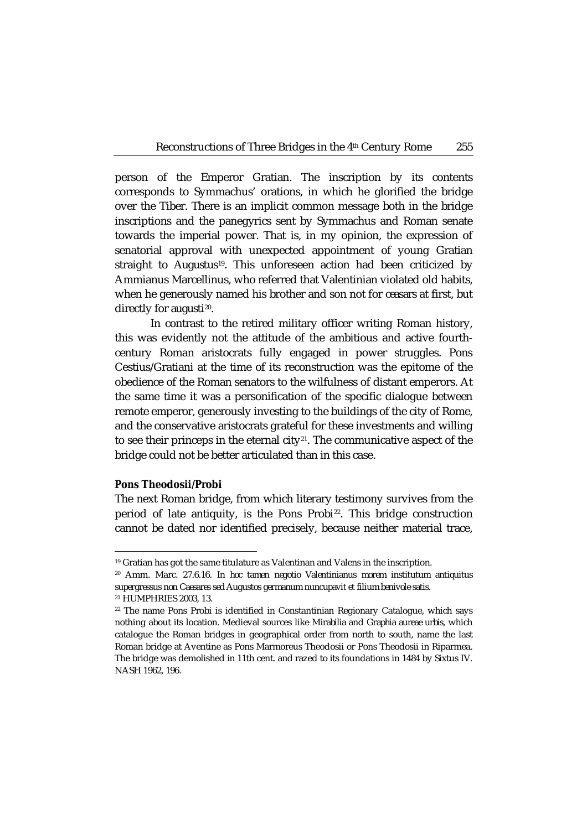person of the Emperor Gratian. The inscription by its contents corresponds to Symmachus' orations, in which he glorified the bridge over the Tiber. There is an implicit common message both in the bridge inscriptions and the panegyrics sent by Symmachus and Roman senate towards the imperial power. That is, in my opinion, the expression of senatorial approval with unexpected appointment of young Gratian straight to *Augustus*[19](#page-6-0)*.* This unforeseen action had been criticized by Ammianus Marcellinus, who referred that Valentinian violated old habits, when he generously named his brother and son not for *ceasars* at first, but directly for *augusti*[20.](#page-6-1)

In contrast to the retired military officer writing Roman history, this was evidently not the attitude of the ambitious and active fourthcentury Roman aristocrats fully engaged in power struggles. Pons Cestius/Gratiani at the time of its reconstruction was the epitome of the obedience of the Roman senators to the wilfulness of distant emperors. At the same time it was a personification of the specific dialogue between remote emperor, generously investing to the buildings of the city of Rome, and the conservative aristocrats grateful for these investments and willing to see their princeps in the eternal city $21$ . The communicative aspect of the bridge could not be better articulated than in this case.

#### **Pons Theodosii/Probi**

The next Roman bridge, from which literary testimony survives from the period of late antiquity, is the Pons Probi[22.](#page-6-3) This bridge construction cannot be dated nor identified precisely, because neither material trace,

<span id="page-6-0"></span><sup>19</sup> Gratian has got the same titulature as Valentinan and Valens in the inscription.

<span id="page-6-1"></span><sup>20</sup> Amm. Marc. 27.6.16. *In hoc tamen negotio Valentinianus morem institutum antiquitus supergressus non Caesares sed Augustos germanum nuncupavit et filium benivole satis.*

<span id="page-6-2"></span><sup>21</sup> HUMPHRIES 2003, 13.

<span id="page-6-3"></span><sup>&</sup>lt;sup>22</sup> The name Pons Probi is identified in Constantinian Regionary Catalogue, which says nothing about its location. Medieval sources like *Mirabilia* and *Graphia aureae urbis*, which catalogue the Roman bridges in geographical order from north to south, name the last Roman bridge at Aventine as Pons Marmoreus Theodosii or Pons Theodosii in Riparmea. The bridge was demolished in 11th cent. and razed to its foundations in 1484 by Sixtus IV. NASH 1962, 196.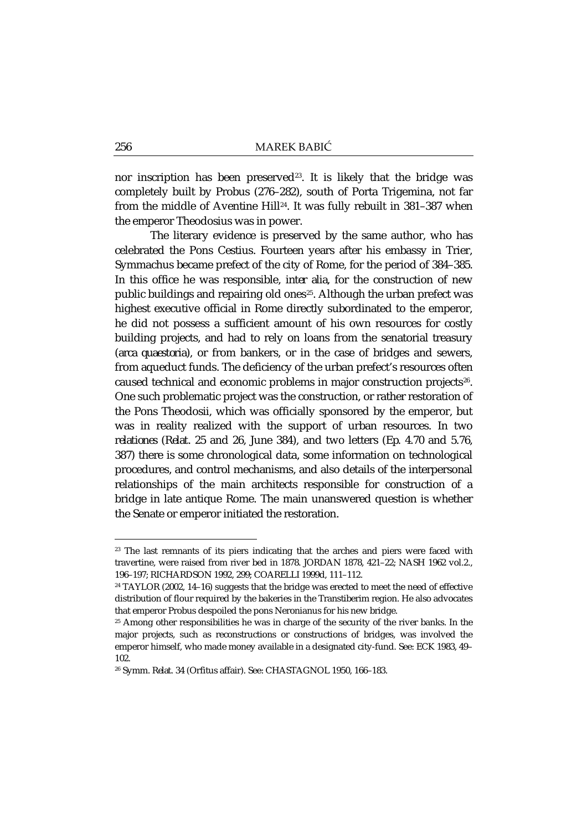nor inscription has been preserved<sup>[23](#page-7-0)</sup>. It is likely that the bridge was completely built by Probus (276–282), south of Porta Trigemina, not far from the middle of Aventine Hill[24.](#page-7-1) It was fully rebuilt in 381–387 when the emperor Theodosius was in power.

The literary evidence is preserved by the same author, who has celebrated the Pons Cestius. Fourteen years after his embassy in Trier, Symmachus became prefect of the city of Rome, for the period of 384–385. In this office he was responsible, *inter alia*, for the construction of new public buildings and repairing old ones<sup>[25](#page-7-2)</sup>. Although the urban prefect was highest executive official in Rome directly subordinated to the emperor, he did not possess a sufficient amount of his own resources for costly building projects, and had to rely on loans from the senatorial treasury (*arca quaestoria*), or from bankers, or in the case of bridges and sewers, from aqueduct funds. The deficiency of the urban prefect's resources often caused technical and economic problems in major construction projects<sup>[26](#page-7-3)</sup>. One such problematic project was the construction, or rather restoration of the Pons Theodosii, which was officially sponsored by the emperor, but was in reality realized with the support of urban resources. In two *relationes* (*Relat.* 25 and 26, June 384), and two letters (*Ep*. 4.70 and 5.76, 387) there is some chronological data, some information on technological procedures, and control mechanisms, and also details of the interpersonal relationships of the main architects responsible for construction of a bridge in late antique Rome. The main unanswered question is whether the Senate or emperor initiated the restoration.

<span id="page-7-0"></span><sup>&</sup>lt;sup>23</sup> The last remnants of its piers indicating that the arches and piers were faced with travertine, were raised from river bed in 1878. JORDAN 1878, 421–22; NASH 1962 vol.2., 196–197; RICHARDSON 1992, 299; COARELLI 1999d, 111–112.

<span id="page-7-1"></span><sup>24</sup> TAYLOR (2002, 14–16) suggests that the bridge was erected to meet the need of effective distribution of flour required by the bakeries in the Transtiberim region. He also advocates that emperor Probus despoiled the pons Neronianus for his new bridge.

<span id="page-7-2"></span><sup>&</sup>lt;sup>25</sup> Among other responsibilities he was in charge of the security of the river banks. In the major projects, such as reconstructions or constructions of bridges, was involved the emperor himself, who made money available in a designated city-fund. See: ECK 1983, 49– 102.

<span id="page-7-3"></span><sup>26</sup> Symm. *Relat.* 34 (Orfitus affair). See: CHASTAGNOL 1950, 166–183.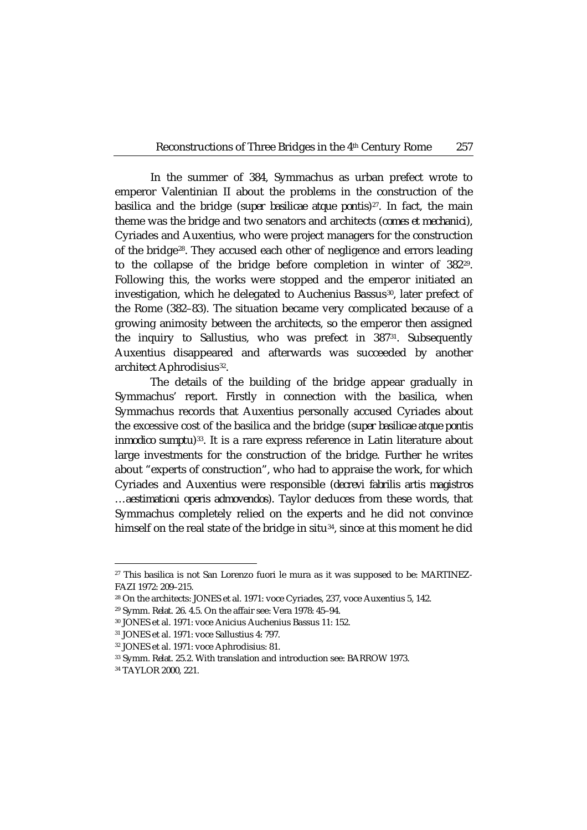In the summer of 384, Symmachus as urban prefect wrote to emperor Valentinian II about the problems in the construction of the basilica and the bridge (*super basilicae atque pontis*)<sup>27</sup>. In fact, the main theme was the bridge and two senators and architects (*comes et mechanici*), Cyriades and Auxentius, who were project managers for the construction of the bridge[28](#page-8-1). They accused each other of negligence and errors leading to the collapse of the bridge before completion in winter of 382[29](#page-8-2). Following this, the works were stopped and the emperor initiated an investigation, which he delegated to Auchenius Bassus<sup>30</sup>, later prefect of the Rome (382–83). The situation became very complicated because of a growing animosity between the architects, so the emperor then assigned the inquiry to Sallustius, who was prefect in 38[731.](#page-8-4) Subsequently Auxentius disappeared and afterwards was succeeded by another architect Aphrodisius<sup>32</sup>.

The details of the building of the bridge appear gradually in Symmachus' report. Firstly in connection with the basilica, when Symmachus records that Auxentius personally accused Cyriades about the excessive cost of the basilica and the bridge (*super basilicae atque pontis inmodico sumptu*)<sup>33</sup>. It is a rare express reference in Latin literature about large investments for the construction of the bridge. Further he writes about "experts of construction", who had to appraise the work, for which Cyriades and Auxentius were responsible (*decrevi fabrilis artis magistros …aestimationi operis admovendos*). Taylor deduces from these words, that Symmachus completely relied on the experts and he did not convince himself on the real state of the bridge in situ<sup>[34](#page-8-7)</sup>, since at this moment he did

<span id="page-8-0"></span><sup>&</sup>lt;sup>27</sup> This basilica is not San Lorenzo fuori le mura as it was supposed to be: MARTINEZ-FAZI 1972: 209–215.

<span id="page-8-1"></span><sup>28</sup> On the architects: JONES et al. 1971: voce Cyriades, 237, voce Auxentius 5, 142.

<span id="page-8-3"></span><span id="page-8-2"></span><sup>29</sup> Symm. *Relat.* 26. 4.5. On the affair see: Vera 1978: 45–94.

<sup>30</sup> JONES et al. 1971: voce Anicius Auchenius Bassus 11: 152.

<span id="page-8-4"></span><sup>31</sup> JONES et al. 1971: voce Sallustius 4: 797.

<span id="page-8-5"></span><sup>32</sup> JONES et al. 1971: voce Aphrodisius: 81.

<span id="page-8-6"></span><sup>33</sup> Symm. *Relat.* 25.2. With translation and introduction see: BARROW 1973.

<span id="page-8-7"></span><sup>34</sup> TAYLOR 2000, 221.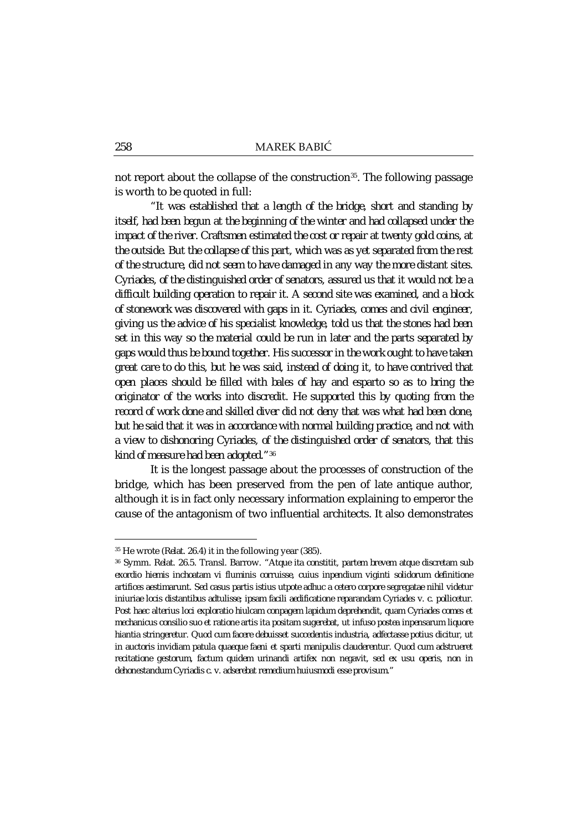not report about the collapse of the construction<sup>35</sup>. The following passage is worth to be quoted in full:

*"It was established that a length of the bridge, short and standing by itself, had been begun at the beginning of the winter and had collapsed under the impact of the river. Craftsmen estimated the cost or repair at twenty gold coins, at the outside. But the collapse of this part, which was as yet separated from the rest of the structure, did not seem to have damaged in any way the more distant sites. Cyriades, of the distinguished order of senators, assured us that it would not be a difficult building operation to repair it. A second site was examined, and a block of stonework was discovered with gaps in it. Cyriades, comes and civil engineer, giving us the advice of his specialist knowledge, told us that the stones had been set in this way so the material could be run in later and the parts separated by gaps would thus be bound together. His successor in the work ought to have taken great care to do this, but he was said, instead of doing it, to have contrived that open places should be filled with bales of hay and esparto so as to bring the originator of the works into discredit. He supported this by quoting from the record of work done and skilled diver did not deny that was what had been done, but he said that it was in accordance with normal building practice, and not with a view to dishonoring Cyriades, of the distinguished order of senators, that this kind of measure had been adopted."*[36](#page-9-1)

It is the longest passage about the processes of construction of the bridge, which has been preserved from the pen of late antique author, although it is in fact only necessary information explaining to emperor the cause of the antagonism of two influential architects. It also demonstrates

<sup>35</sup> He wrote (*Relat*. 26.4) it in the following year (385).

<span id="page-9-1"></span><span id="page-9-0"></span><sup>36</sup> Symm. *Relat*. 26.5. Transl. Barrow. *"Atque ita constitit, partem brevem atque discretam sub exordio hiemis inchoatam vi fluminis corruisse, cuius inpendium viginti solidorum definitione artifices aestimarunt. Sed casus partis istius utpote adhuc a cetero corpore segregatae nihil videtur iniuriae locis distantibus adtulisse; ipsam facili aedificatione reparandam Cyriades v. c. pollicetur. Post haec alterius loci exploratio hiulcam conpagem lapidum deprehendit, quam Cyriades comes et mechanicus consilio suo et ratione artis ita positam sugerebat, ut infuso postea inpensarum liquore hiantia stringeretur. Quod cum facere debuisset succedentis industria, adfectasse potius dicitur, ut in auctoris invidiam patula quaeque faeni et sparti manipulis clauderentur. Quod cum adstrueret recitatione gestorum, factum quidem urinandi artifex non negavit, sed ex usu operis, non in dehonestandum Cyriadis c. v. adserebat remedium huiusmodi esse provisum."*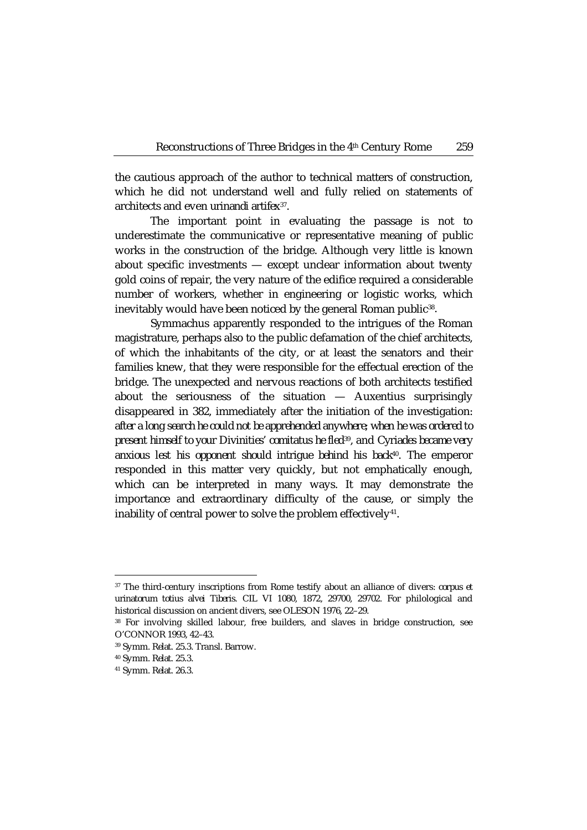the cautious approach of the author to technical matters of construction, which he did not understand well and fully relied on statements of architects and even *urinandi artifex*[37](#page-10-0)*.*

The important point in evaluating the passage is not to underestimate the communicative or representative meaning of public works in the construction of the bridge. Although very little is known about specific investments — except unclear information about twenty gold coins of repair, the very nature of the edifice required a considerable number of workers, whether in engineering or logistic works, which inevitably would have been noticed by the general Roman public<sup>[38](#page-10-1)</sup>.

Symmachus apparently responded to the intrigues of the Roman magistrature, perhaps also to the public defamation of the chief architects, of which the inhabitants of the city, or at least the senators and their families knew, that they were responsible for the effectual erection of the bridge. The unexpected and nervous reactions of both architects testified about the seriousness of the situation — Auxentius surprisingly disappeared in 382, immediately after the initiation of the investigation: *after a long search he could not be apprehended anywhere; when he was ordered to present himself to your Divinities' comitatus he fled*[39](#page-10-2)*,* and *Cyriades became very anxious lest his opponent should intrigue behind his back*[40](#page-10-3)*.* The emperor responded in this matter very quickly, but not emphatically enough, which can be interpreted in many ways. It may demonstrate the importance and extraordinary difficulty of the cause, or simply the inability of central power to solve the problem effectively<sup>41</sup>.

<span id="page-10-0"></span><sup>37</sup> The third-century inscriptions from Rome testify about an alliance of divers: *corpus et urinatorum totius alvei Tiberis.* CIL VI 1080, 1872, 29700, 29702. For philological and historical discussion on ancient divers, see OLESON 1976, 22–29.

<span id="page-10-1"></span><sup>38</sup> For involving skilled labour, free builders, and slaves in bridge construction, see O'CONNOR 1993, 42–43.

<span id="page-10-3"></span><span id="page-10-2"></span><sup>39</sup> Symm. *Relat.* 25.3. Transl. Barrow.

<sup>40</sup> Symm. *Relat*. 25.3.

<span id="page-10-4"></span><sup>41</sup> Symm. *Relat.* 26.3.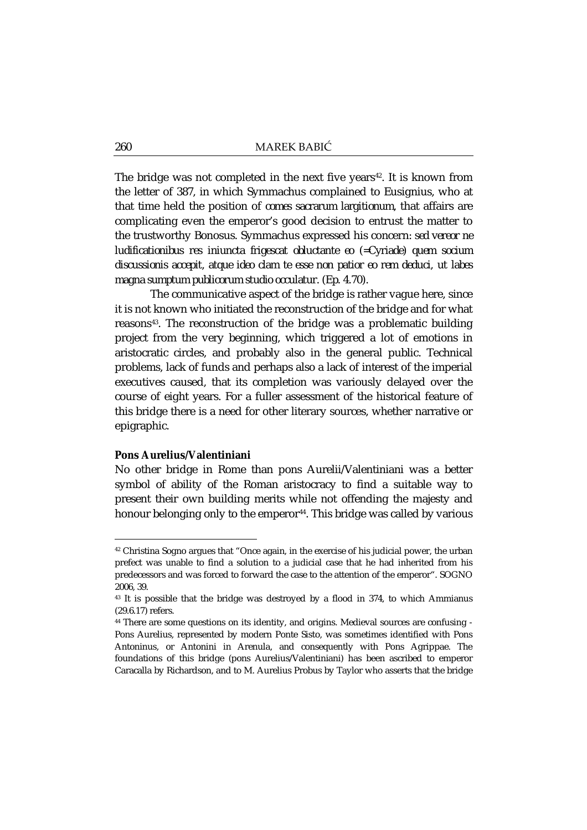The bridge was not completed in the next five years<sup>42</sup>. It is known from the letter of 387, in which Symmachus complained to Eusignius, who at that time held the position of *comes sacrarum largitionum*, that affairs are complicating even the emperor's good decision to entrust the matter to the trustworthy Bonosus. Symmachus expressed his concern: *sed vereor ne ludificationibus res iniuncta frigescat obluctante eo (=Cyriade) quem socium discussionis accepit, atque ideo clam te esse non patior eo rem deduci, ut labes magna sumptum publicorum studio occulatur.* (*Ep*. 4.70).

The communicative aspect of the bridge is rather vague here, since it is not known who initiated the reconstruction of the bridge and for what reasons[43](#page-11-1). The reconstruction of the bridge was a problematic building project from the very beginning, which triggered a lot of emotions in aristocratic circles, and probably also in the general public. Technical problems, lack of funds and perhaps also a lack of interest of the imperial executives caused, that its completion was variously delayed over the course of eight years. For a fuller assessment of the historical feature of this bridge there is a need for other literary sources, whether narrative or epigraphic.

## **Pons Aurelius/Valentiniani**

 $\overline{a}$ 

No other bridge in Rome than pons Aurelii/Valentiniani was a better symbol of ability of the Roman aristocracy to find a suitable way to present their own building merits while not offending the majesty and honour belonging only to the emperor<sup>44</sup>. This bridge was called by various

<span id="page-11-0"></span><sup>42</sup> Christina Sogno argues that "Once again, in the exercise of his judicial power, the urban prefect was unable to find a solution to a judicial case that he had inherited from his predecessors and was forced to forward the case to the attention of the emperor". SOGNO 2006, 39.

<span id="page-11-1"></span><sup>&</sup>lt;sup>43</sup> It is possible that the bridge was destroyed by a flood in 374, to which Ammianus (29.6.17) refers.

<span id="page-11-2"></span><sup>44</sup> There are some questions on its identity, and origins. Medieval sources are confusing - Pons Aurelius, represented by modern Ponte Sisto, was sometimes identified with Pons Antoninus, or Antonini in Arenula, and consequently with Pons Agrippae. The foundations of this bridge (pons Aurelius/Valentiniani) has been ascribed to emperor Caracalla by Richardson, and to M. Aurelius Probus by Taylor who asserts that the bridge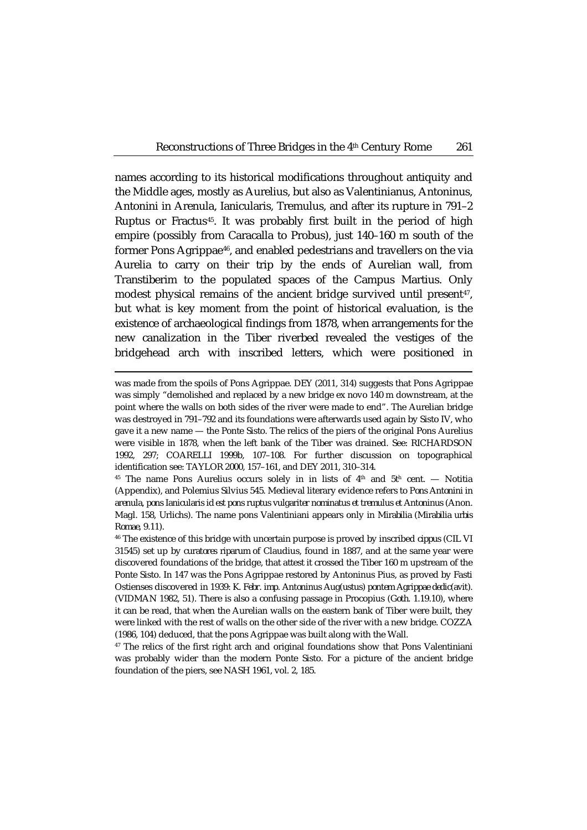names according to its historical modifications throughout antiquity and the Middle ages, mostly as Aurelius, but also as Valentinianus, Antoninus, Antonini in Arenula, Ianicularis, Tremulus, and after its rupture in 791–2 Ruptus or Fractus<sup>[45](#page-12-0)</sup>. It was probably first built in the period of high empire (possibly from Caracalla to Probus), just 140–160 m south of the former Pons Agrippae[46](#page-12-1), and enabled pedestrians and travellers on the via Aurelia to carry on their trip by the ends of Aurelian wall, from Transtiberim to the populated spaces of the Campus Martius. Only modest physical remains of the ancient bridge survived until present<sup>[47](#page-12-2)</sup>, but what is key moment from the point of historical evaluation, is the existence of archaeological findings from 1878, when arrangements for the new canalization in the Tiber riverbed revealed the vestiges of the bridgehead arch with inscribed letters, which were positioned in

was made from the spoils of Pons Agrippae. DEY (2011, 314) suggests that Pons Agrippae was simply "demolished and replaced by a new bridge ex novo 140 m downstream, at the point where the walls on both sides of the river were made to end". The Aurelian bridge was destroyed in 791–792 and its foundations were afterwards used again by Sisto IV, who gave it a new name — the Ponte Sisto. The relics of the piers of the original Pons Aurelius were visible in 1878, when the left bank of the Tiber was drained. See: RICHARDSON 1992, 297; COARELLI 1999b, 107–108. For further discussion on topographical identification see: TAYLOR 2000, 157–161, and DEY 2011, 310–314.

<span id="page-12-0"></span><sup>&</sup>lt;sup>45</sup> The name Pons Aurelius occurs solely in in lists of  $4<sup>th</sup>$  and  $5<sup>th</sup>$  cent. — Notitia (Appendix), and Polemius Silvius 545. Medieval literary evidence refers to *Pons Antonini in arenula, pons Ianicularis id est pons ruptus vulgariter nominatus et tremulus et Antoninus* (Anon. Magl. 158, Urlichs). The name pons Valentiniani appears only in *Mirabilia* (*Mirabilia urbis Romae*, 9.11).

<span id="page-12-1"></span><sup>46</sup> The existence of this bridge with uncertain purpose is proved by inscribed *cippus* (CIL VI 31545) set up by *curatores riparum* of Claudius, found in 1887, and at the same year were discovered foundations of the bridge, that attest it crossed the Tiber 160 m upstream of the Ponte Sisto. In 147 was the Pons Agrippae restored by Antoninus Pius, as proved by Fasti Ostienses discovered in 1939: *K. Febr. imp. Antoninus Aug(ustus) pontem Agrippae dedic(avit).* (VIDMAN 1982, 51). There is also a confusing passage in Procopius (*Goth.* 1.19.10), where it can be read, that when the Aurelian walls on the eastern bank of Tiber were built, they were linked with the rest of walls on the other side of the river with a new bridge. COZZA (1986, 104) deduced, that the pons Agrippae was built along with the Wall.

<span id="page-12-2"></span><sup>47</sup> The relics of the first right arch and original foundations show that Pons Valentiniani was probably wider than the modern Ponte Sisto. For a picture of the ancient bridge foundation of the piers, see NASH 1961, vol. 2, 185.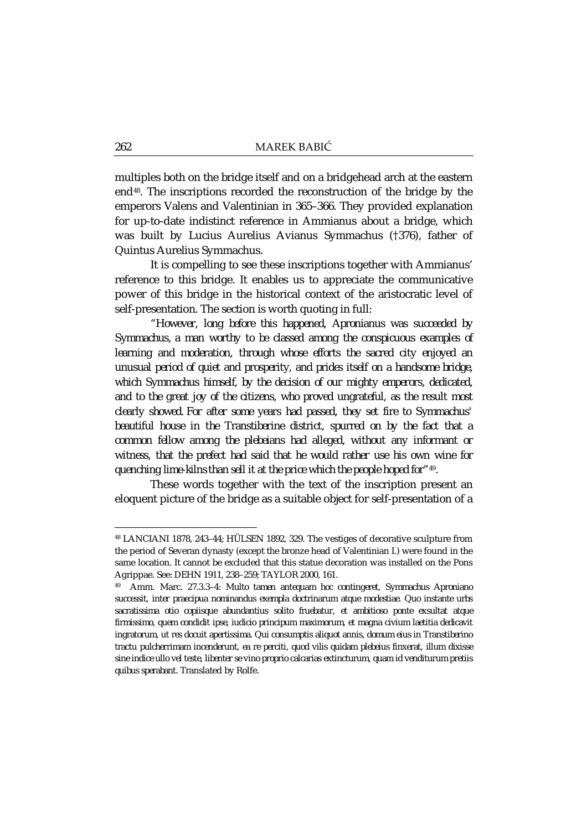multiples both on the bridge itself and on a bridgehead arch at the eastern end[48.](#page-13-0) The inscriptions recorded the reconstruction of the bridge by the emperors Valens and Valentinian in 365–366. They provided explanation for up-to-date indistinct reference in Ammianus about a bridge, which was built by Lucius Aurelius Avianus Symmachus (†376), father of Quintus Aurelius Symmachus.

It is compelling to see these inscriptions together with Ammianus' reference to this bridge. It enables us to appreciate the communicative power of this bridge in the historical context of the aristocratic level of self-presentation. The section is worth quoting in full:

*"However, long before this happened, Apronianus was succeeded by Symmachus, a man worthy to be classed among the conspicuous examples of learning and moderation, through whose efforts the sacred city enjoyed an unusual period of quiet and prosperity, and prides itself on a handsome bridge, which Symmachus himself, by the decision of our mighty emperors, dedicated,*  and to the great joy of the citizens, who proved ungrateful, as the result most *clearly showed. For after some years had passed, they set fire to Symmachus' beautiful house in the Transtiberine district, spurred on by the fact that a common fellow among the plebeians had alleged, without any informant or witness, that the prefect had said that he would rather use his own wine for quenching lime-kilnsthan sell it at the price which the people hoped for"*[49](#page-13-1)*.*

These words together with the text of the inscription present an eloquent picture of the bridge as a suitable object for self-presentation of a

<span id="page-13-0"></span><sup>48</sup> LANCIANI 1878, 243–44; HÜLSEN 1892, 329. The vestiges of decorative sculpture from the period of Severan dynasty (except the bronze head of Valentinian I.) were found in the same location. It cannot be excluded that this statue decoration was installed on the Pons Agrippae. See: DEHN 1911, 238–259; TAYLOR 2000, 161.

<span id="page-13-1"></span><sup>49</sup> Amm. Marc. 27.3.3–4: *Multo tamen antequam hoc contingeret, Symmachus Aproniano successit, inter praecipua nominandus exempla doctrinarum atque modestiae. Quo instante urbs sacratissima otio copiisque abundantius solito fruebatur, et ambitioso ponte exsultat atque firmissimo, quem condidit ipse, iudicio principum maximorum, et magna civium laetitia dedicavit ingratorum, ut res docuit apertissima. Qui consumptis aliquot annis, domum eius in Transtiberino tractu pulcherrimam incenderunt, ea re perciti, quod vilis quidam plebeius finxerat, illum dixisse sine indice ullo vel teste, libenter se vino proprio calcarias extincturum, quam id venditurum pretiis quibus sperabant.* Translated by Rolfe.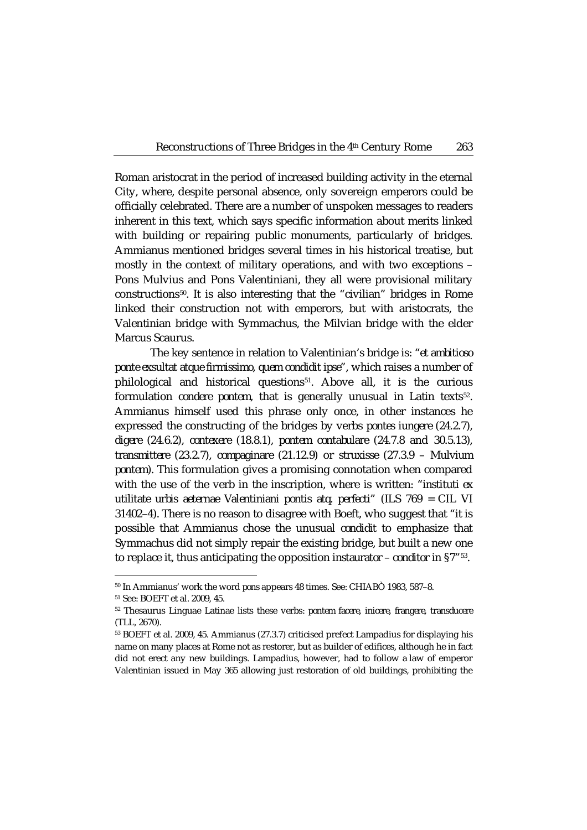Roman aristocrat in the period of increased building activity in the eternal City, where, despite personal absence, only sovereign emperors could be officially celebrated. There are a number of unspoken messages to readers inherent in this text, which says specific information about merits linked with building or repairing public monuments, particularly of bridges. Ammianus mentioned bridges several times in his historical treatise, but mostly in the context of military operations, and with two exceptions – Pons Mulvius and Pons Valentiniani, they all were provisional military constructions[50.](#page-14-0) It is also interesting that the "civilian" bridges in Rome linked their construction not with emperors, but with aristocrats, the Valentinian bridge with Symmachus, the Milvian bridge with the elder Marcus Scaurus.

The key sentence in relation to Valentinian's bridge is: "*et ambitioso ponte exsultat atque firmissimo, quem condidit ipse*", which raises a number of philological and historical questions<sup>[51](#page-14-1)</sup>. Above all, it is the curious formulation *condere pontem*, that is generally unusual in Latin texts<sup>[52](#page-14-2)</sup>. Ammianus himself used this phrase only once, in other instances he expressed the constructing of the bridges by verbs *pontes iungere* (24.2.7), *digere* (24.6.2), *contexere* (18.8.1), *pontem contabulare* (24.7.8 and 30.5.13), *transmittere* (23.2.7), *compaginare* (21.12.9) or *struxisse (*27.3.9 – *Mulvium pontem*). This formulation gives a promising connotation when compared with the use of the verb in the inscription, where is written: "*instituti ex utilitate urbis aeternae Valentiniani pontis atq. perfecti*" (ILS 769 = CIL VI 31402–4). There is no reason to disagree with Boeft, who suggest that "it is possible that Ammianus chose the unusual *condidit* to emphasize that Symmachus did not simply repair the existing bridge, but built a new one to replace it, thus anticipating the opposition *instaurator – conditor* in §7"[53](#page-14-3).

<sup>50</sup> In Ammianus' work the word *pons* appears 48 times. See: CHIABÒ 1983, 587–8.

<span id="page-14-2"></span><span id="page-14-1"></span><span id="page-14-0"></span><sup>51</sup> See: BOEFT et al. 2009, 45.

<sup>52</sup> Thesaurus Linguae Latinae lists these verbs: *pontem facere*, *inicere*, *frangere*, *transducere* (TLL, 2670).

<span id="page-14-3"></span><sup>53</sup> BOEFT et al. 2009, 45. Ammianus (27.3.7) criticised prefect Lampadius for displaying his name on many places at Rome not as restorer, but as builder of edifices, although he in fact did not erect any new buildings. Lampadius, however, had to follow a law of emperor Valentinian issued in May 365 allowing just restoration of old buildings, prohibiting the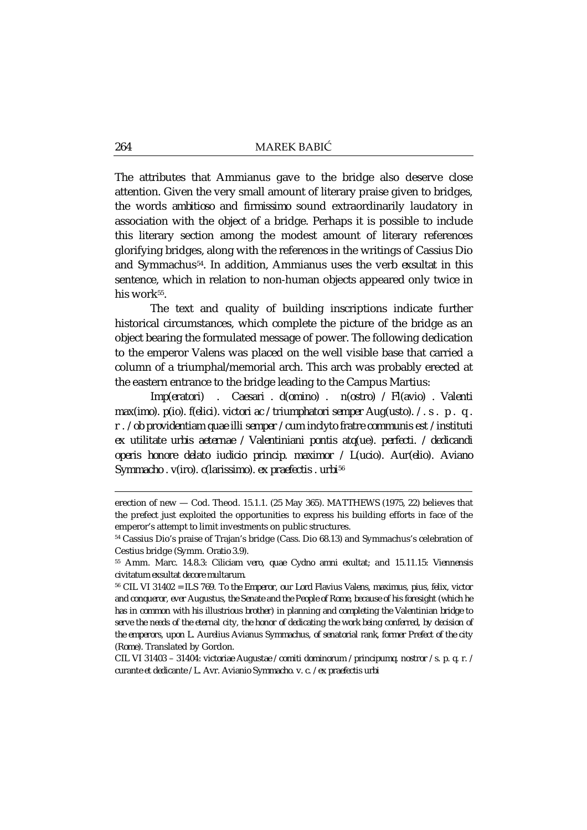The attributes that Ammianus gave to the bridge also deserve close attention. Given the very small amount of literary praise given to bridges, the words *ambitioso* and *firmissimo* sound extraordinarily laudatory in association with the object of a bridge. Perhaps it is possible to include this literary section among the modest amount of literary references glorifying bridges, along with the references in the writings of Cassius Dio and Symmachus[54.](#page-15-0) In addition, Ammianus uses the verb *exsultat* in this sentence, which in relation to non-human objects appeared only twice in his work<sup>55</sup>.

The text and quality of building inscriptions indicate further historical circumstances, which complete the picture of the bridge as an object bearing the formulated message of power. The following dedication to the emperor Valens was placed on the well visible base that carried a column of a triumphal/memorial arch. This arch was probably erected at the eastern entrance to the bridge leading to the Campus Martius:

*Imp(eratori) . Caesari . d(omino) . n(ostro) / Fl(avio) . Valenti max(imo). p(io). f(elici). victori ac / triumphatori semper Aug(usto). / . s . p . q . r . / ob providentiam quae illi semper / cum inclyto fratre communis est / instituti ex utilitate urbis aeternae / Valentiniani pontis atq(ue). perfecti. / dedicandi operis honore delato iudicio princip. maximor / L(ucio). Aur(elio). Aviano Symmacho . v(iro). c(larissimo). ex praefectis . urbi*[56](#page-15-2)

CIL VI 31403 – 31404: *victoriae Augustae / comiti dominorum / principumq. nostror / s. p. q. r. / curante et dedicante / L. Avr. Avianio Symmacho. v. c. / ex praefectis urbi*

erection of new — Cod. Theod. 15.1.1. (25 May 365). MATTHEWS (1975, 22) believes that the prefect just exploited the opportunities to express his building efforts in face of the emperor's attempt to limit investments on public structures.

<span id="page-15-0"></span><sup>54</sup> Cassius Dio's praise of Trajan's bridge (Cass. Dio 68.13) and Symmachus's celebration of Cestius bridge (Symm. *Oratio* 3.9).

<span id="page-15-1"></span><sup>55</sup> Amm. Marc. 14.8.3: *Ciliciam vero, quae Cydno amni exultat*; and 15.11.15: *Viennensis civitatum exsultat decore multarum.*

<span id="page-15-2"></span><sup>56</sup> CIL VI 31402 = ILS 769. *To the Emperor, our Lord Flavius Valens, maximus, pius, felix, victor and conqueror, ever Augustus, the Senate and the People of Rome, because of his foresight (which he has in common with his illustrious brother) in planning and completing the Valentinian bridge to serve the needs of the eternal city, the honor of dedicating the work being conferred, by decision of the emperors, upon L. Aurelius Avianus Symmachus, of senatorial rank, former Prefect of the city (Rome).* Translated by Gordon.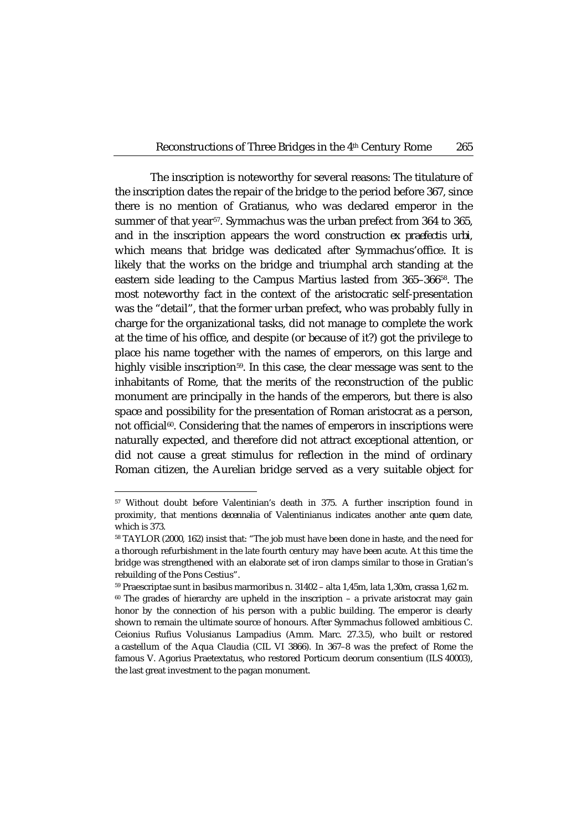The inscription is noteworthy for several reasons: The titulature of the inscription dates the repair of the bridge to the period before 367, since there is no mention of Gratianus, who was declared emperor in the summer of that year<sup>57</sup>. Symmachus was the urban prefect from 364 to 365, and in the inscription appears the word construction *ex praefectis urbi,*  which means that bridge was dedicated after Symmachus'office. It is likely that the works on the bridge and triumphal arch standing at the eastern side leading to the Campus Martius lasted from 365–366[58.](#page-16-1) The most noteworthy fact in the context of the aristocratic self-presentation was the "detail", that the former urban prefect, who was probably fully in charge for the organizational tasks, did not manage to complete the work at the time of his office, and despite (or because of it?) got the privilege to place his name together with the names of emperors, on this large and highly visible inscription<sup>[59](#page-16-2)</sup>. In this case, the clear message was sent to the inhabitants of Rome, that the merits of the reconstruction of the public monument are principally in the hands of the emperors, but there is also space and possibility for the presentation of Roman aristocrat as a person, not official<sup>60</sup>. Considering that the names of emperors in inscriptions were naturally expected, and therefore did not attract exceptional attention, or did not cause a great stimulus for reflection in the mind of ordinary Roman citizen, the Aurelian bridge served as a very suitable object for

<span id="page-16-0"></span><sup>57</sup> Without doubt before Valentinian's death in 375. A further inscription found in proximity, that mentions *decennalia* of Valentinianus indicates another *ante quem* date, which is 373.

<span id="page-16-1"></span><sup>58</sup> TAYLOR (2000, 162) insist that: "The job must have been done in haste, and the need for a thorough refurbishment in the late fourth century may have been acute. At this time the bridge was strengthened with an elaborate set of iron clamps similar to those in Gratian's rebuilding of the Pons Cestius".

<span id="page-16-3"></span><span id="page-16-2"></span><sup>59</sup> Praescriptae sunt in basibus marmoribus n. 31402 – alta 1,45m, lata 1,30m, crassa 1,62 m.  $60$  The grades of hierarchy are upheld in the inscription – a private aristocrat may gain honor by the connection of his person with a public building. The emperor is clearly shown to remain the ultimate source of honours. After Symmachus followed ambitious C. Ceionius Rufius Volusianus Lampadius (Amm. Marc. 27.3.5), who built or restored a castellum of the Aqua Claudia (CIL VI 3866). In 367–8 was the prefect of Rome the famous V. Agorius Praetextatus, who restored Porticum deorum consentium (ILS 40003), the last great investment to the pagan monument.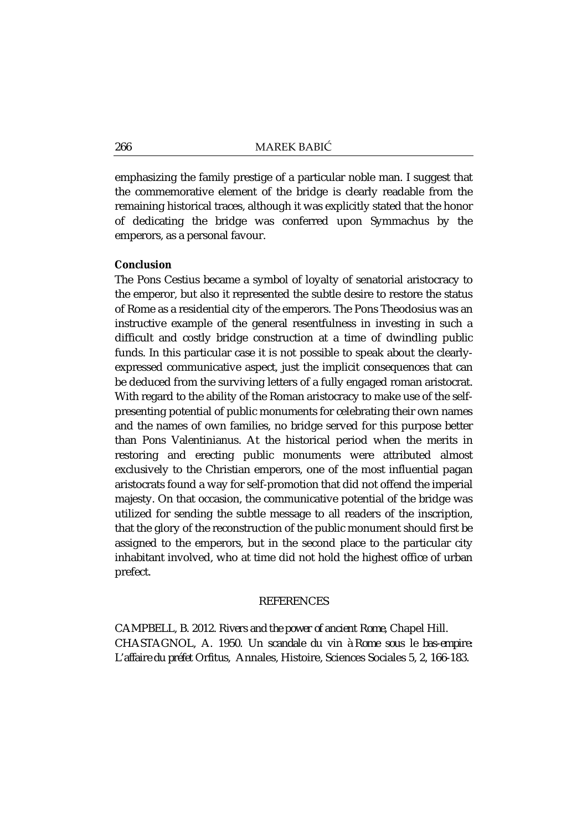emphasizing the family prestige of a particular noble man. I suggest that the commemorative element of the bridge is clearly readable from the remaining historical traces, although it was explicitly stated that the honor of dedicating the bridge was conferred upon Symmachus by the emperors, as a personal favour.

### **Conclusion**

The Pons Cestius became a symbol of loyalty of senatorial aristocracy to the emperor, but also it represented the subtle desire to restore the status of Rome as a residential city of the emperors. The Pons Theodosius was an instructive example of the general resentfulness in investing in such a difficult and costly bridge construction at a time of dwindling public funds. In this particular case it is not possible to speak about the clearlyexpressed communicative aspect, just the implicit consequences that can be deduced from the surviving letters of a fully engaged roman aristocrat. With regard to the ability of the Roman aristocracy to make use of the selfpresenting potential of public monuments for celebrating their own names and the names of own families, no bridge served for this purpose better than Pons Valentinianus. At the historical period when the merits in restoring and erecting public monuments were attributed almost exclusively to the Christian emperors, one of the most influential pagan aristocrats found a way for self-promotion that did not offend the imperial majesty. On that occasion, the communicative potential of the bridge was utilized for sending the subtle message to all readers of the inscription, that the glory of the reconstruction of the public monument should first be assigned to the emperors, but in the second place to the particular city inhabitant involved, who at time did not hold the highest office of urban prefect.

### **REFERENCES**

CAMPBELL, B. 2012. *Rivers and the power of ancient Rome*, Chapel Hill. CHASTAGNOL, A. 1950. *Un scandale du vin à Rome sous le bas-empire: L'affaire du préfet Orfitus*, Annales, Histoire, Sciences Sociales 5, 2, 166-183.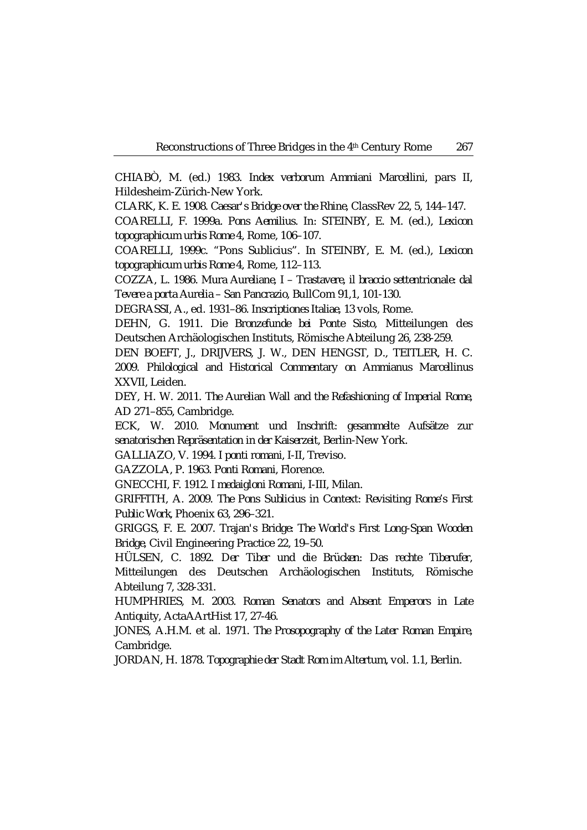CHIABÒ, M. (ed.) 1983. *Index verborum Ammiani Marcellini*, pars II, Hildesheim-Zürich-New York.

CLARK, K. E. 1908. *Caesar's Bridge over the Rhine*, ClassRev 22, 5, 144–147.

COARELLI, F. 1999a. *Pons Aemilius*. In: STEINBY, E. M. (ed.), *Lexicon topographicum urbis Rome* 4, Rome, 106–107.

COARELLI, 1999c. "Pons Sublicius". In STEINBY, E. M. (ed.), *Lexicon topographicum urbis Rome* 4, Rome, 112–113.

COZZA, L. 1986. *Mura Aureliane, I – Trastavere, il braccio settentrionale: dal Tevere a porta Aurelia – San Pancrazio*, BullCom 91,1, 101-130.

DEGRASSI, A., ed. 1931–86. *Inscriptiones Italiae*, 13 vols, Rome.

DEHN, G. 1911. *Die Bronzefunde bei Ponte Sisto*, Mitteilungen des Deutschen Archäologischen Instituts, Römische Abteilung 26, 238-259.

DEN BOEFT, J., DRIJVERS, J. W., DEN HENGST, D., TEITLER, H. C. 2009. *Philological and Historical Commentary on Ammianus Marcellinus XXVII*, Leiden.

DEY, H. W. 2011. *The Aurelian Wall and the Refashioning of Imperial Rome, AD 271–855*, Cambridge.

ECK, W. 2010. *Monument und Inschrift: gesammelte Aufsätze zur senatorischen Repräsentation in der Kaiserzeit,* Berlin-New York.

GALLIAZO, V. 1994. *I ponti romani*, I-II, Treviso.

GAZZOLA, P. 1963. *Ponti Romani*, Florence.

GNECCHI, F. 1912. *I medaigloni Romani*, I-III, Milan.

GRIFFITH, A. 2009. *The Pons Sublicius in Context: Revisiting Rome's First Public Work*, Phoenix 63, 296–321.

GRIGGS, F. E. 2007. *Trajan's Bridge: The World's First Long-Span Wooden Bridge*, Civil Engineering Practice 22, 19–50.

HÜLSEN, C. 1892. *Der Tiber und die Brücken: Das rechte Tiberufer*, Mitteilungen des Deutschen Archäologischen Instituts, Römische Abteilung 7, 328-331.

HUMPHRIES, M. 2003. *Roman Senators and Absent Emperors in Late Antiquity*, ActaAArtHist 17, 27-46.

JONES, A.H.M. et al. 1971. *The Prosopography of the Later Roman Empire*, Cambridge.

JORDAN, H. 1878. *Topographie der Stadt Rom im Altertum*, vol. 1.1, Berlin.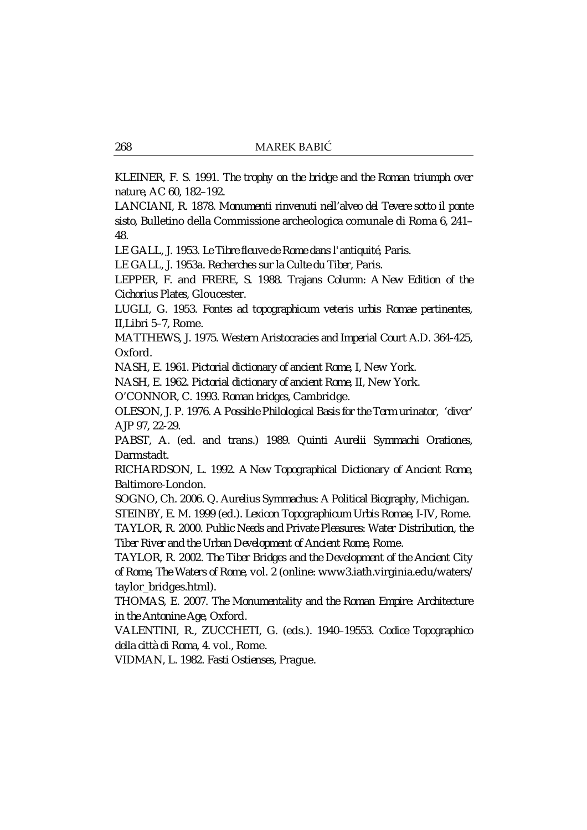KLEINER, F. S. 1991. *The trophy on the bridge and the Roman triumph over nature*, AC 60, 182–192.

LANCIANI, R. 1878. *Monumenti rinvenuti nell'alveo del Tevere sotto il ponte sisto*, Bulletino della Commissione archeologica comunale di Roma 6, 241– 48.

LE GALL, J. 1953. *Le Tibre fleuve de Rome dans l'antiquité*, Paris.

LE GALL, J. 1953a. *Recherches sur la Culte du Tiber*, Paris.

LEPPER, F. and FRERE, S. 1988. *Trajans Column: A New Edition of the Cichorius Plates*, Gloucester.

LUGLI, G. 1953. *Fontes ad topographicum veteris urbis Romae pertinentes*, II,Libri 5–7, Rome.

MATTHEWS, J. 1975. *Western Aristocracies and Imperial Court A.D. 364-425*, Oxford.

NASH, E. 1961. *Pictorial dictionary of ancient Rome*, I, New York.

NASH, E. 1962. *Pictorial dictionary of ancient Rome*, II, New York.

O'CONNOR, C. 1993. *Roman bridges*, Cambridge.

OLESON, J. P. 1976. *A Possible Philological Basis for the Term urinator, 'diver'* AJP 97, 22-29.

PABST, A. (ed. and trans.) 1989. *Quinti Aurelii Symmachi Orationes*, Darmstadt.

RICHARDSON, L. 1992. *A New Topographical Dictionary of Ancient Rome*, Baltimore-London.

SOGNO, Ch. 2006. *Q. Aurelius Symmachus: A Political Biography*, Michigan.

STEINBY, E. M. 1999 (ed.). *Lexicon Topographicum Urbis Romae*, I-IV, Rome. TAYLOR, R. 2000. *Public Needs and Private Pleasures: Water Distribution, the Tiber River and the Urban Development of Ancient Rome*, Rome.

TAYLOR, R. 2002. *The Tiber Bridges and the Development of the Ancient City of Rome*, *The Waters of Rome*, vol. 2 (online: www3.iath.virginia.edu/waters/ taylor\_bridges.html).

THOMAS, E. 2007. *The Monumentality and the Roman Empire: Architecture in the Antonine Age*, Oxford.

VALENTINI, R., ZUCCHETI, G. (eds.). 1940–19553. *Codice Topographico della città di Roma*, 4. vol., Rome.

VIDMAN, L. 1982. *Fasti Ostienses*, Prague.